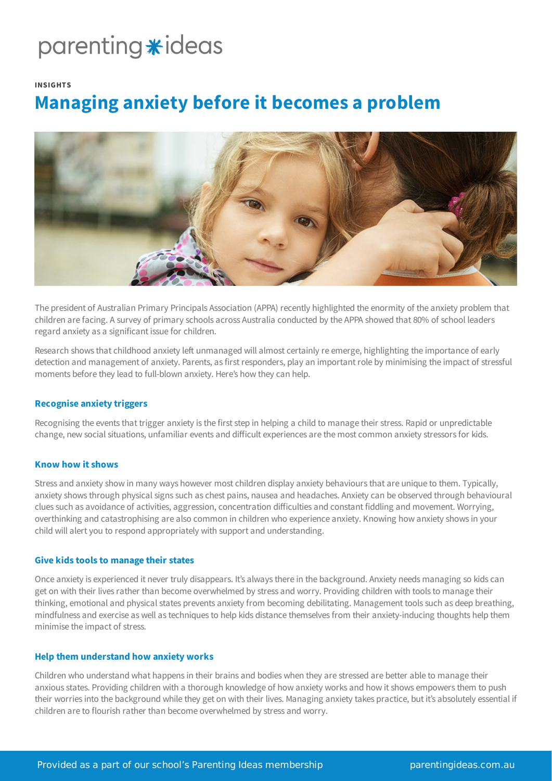# parenting \*ideas

#### **INSIGHTS**

# **Managing anxiety before it becomes a problem**



The president of Australian Primary Principals Association (APPA) recently highlighted the enormity of the anxiety problem that children are facing. A survey of primary schools across Australia conducted by the APPA showed that 80% of school leaders regard anxiety as a significant issue for children.

Research shows that childhood anxiety left unmanaged will almost certainly re emerge, highlighting the importance of early detection and management of anxiety. Parents, as first responders, play an important role by minimising the impact of stressful moments before they lead to full-blown anxiety. Here's how they can help.

### **Recognise anxiety triggers**

Recognising the events that trigger anxiety is the first step in helping a child to manage their stress. Rapid or unpredictable change, new social situations, unfamiliar events and difficult experiences are the most common anxiety stressors for kids.

#### **Know how it shows**

Stress and anxiety show in many ways however most children display anxiety behaviours that are unique to them. Typically, anxiety shows through physical signs such as chest pains, nausea and headaches. Anxiety can be observed through behavioural clues such as avoidance of activities, aggression, concentration difficulties and constant fiddling and movement. Worrying, overthinking and catastrophising are also common in children who experience anxiety. Knowing how anxiety shows in your child will alert you to respond appropriately with support and understanding.

#### **Give kids tools to manage their states**

Once anxiety is experienced it never truly disappears. It's always there in the background. Anxiety needs managing so kids can get on with their lives rather than become overwhelmed by stress and worry. Providing children with tools to manage their thinking, emotional and physical states prevents anxiety from becoming debilitating. Management tools such as deep breathing, mindfulness and exercise as well as techniques to help kids distance themselves from their anxiety-inducing thoughts help them minimise the impact of stress.

#### **Help them understand how anxiety works**

Children who understand what happens in their brains and bodies when they are stressed are better able to manage their anxious states. Providing children with a thorough knowledge of how anxiety works and how it shows empowers them to push their worries into the background while they get on with their lives. Managing anxiety takes practice, but it's absolutely essential if children are to flourish rather than become overwhelmed by stress and worry.